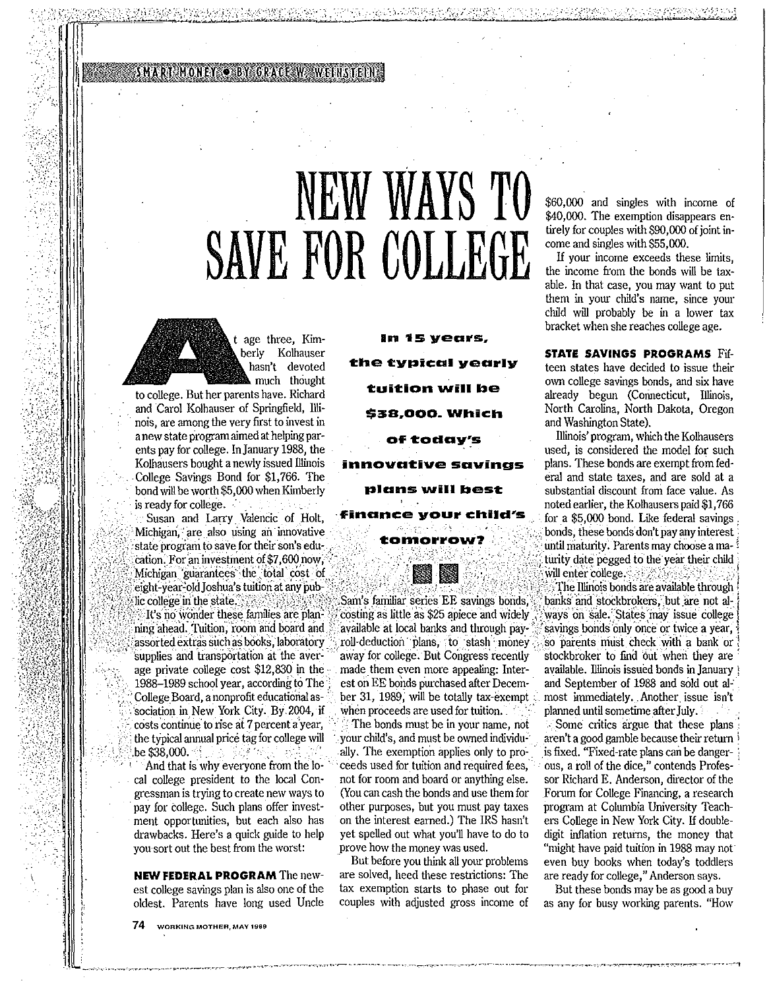SMART MONEY O BY GRACE WA WEINSTEIN

# NEW WAYS TO SAVE FOR COLLEGE

t age three, Kimberly Kolhauser hasn't devoted much thought

to college. But her parents have. Richard and Carol Kolhauser of Springfield, Illinois, are among the very first to invest in a new state program aimed at helping parents pay for college. In January 1988, the Kolhausers bought a newly issued Illinois College Savings Bond for \$1,766. The bond will be worth \$5,000 when Kimberly is ready for college.

Susan and Larry Valencic of Holt, Michigan, are also using an innovative state program to save for their son's education. For an investment of \$7,600 now, Michigan guarantees the total cost of eight-year-old Joshua's tuition at any public college in the state.

It's no wonder these families are planning ahead. Tuition, room and board and assorted extras such as books, laboratory supplies and transportation at the average private college cost \$12,830 in the 1988-1989 school year, according to The College Board, a nonprofit educational association in New York City. By 2004, if costs continue to rise at 7 percent a year, the typical annual price tag for college will be \$38,000.

And that is why everyone from the local college president to the local Congressman is trying to create new ways to pay for college. Such plans offer investment opportunities, but each also has drawbacks. Here's a quick guide to help you sort out the best from the worst:

**NEW FEDERAL PROGRAM The new**est college savings plan is also one of the oldest. Parents have long used Uncle

74 WORKING MOTHER, MAY 1989

vearly ition wi S38.000 Which mns will host

Sam's familiar series EE savings bonds, costing as little as \$25 apiece and widely available at local banks and through payroll-deduction plans, to stash money away for college. But Congress recently made them even more appealing: Interest on EE bonds purchased after December 31, 1989, will be totally tax-exempt when proceeds are used for tuition.

The bonds must be in your name, not your child's, and must be owned individually. The exemption applies only to proceeds used for tuition and required fees, not for room and board or anything else. (You can cash the bonds and use them for other purposes, but you must pay taxes on the interest earned.) The IRS hasn't yet spelled out what you'll have to do to prove how the money was used.

But before you think all your problems are solved, heed these restrictions: The tax exemption starts to phase out for couples with adjusted gross income of \$60,000 and singles with income of \$40,000. The exemption disappears entirely for couples with \$90,000 of joint income and singles with \$55,000.

If your income exceeds these limits, the income from the bonds will be taxable. In that case, you may want to put them in your child's name, since your child will probably be in a lower tax bracket when she reaches college age.

STATE SAVINGS PROGRAMS Fifteen states have decided to issue their own college savings bonds, and six have already begun (Connecticut, Illinois, North Carolina, North Dakota, Oregon and Washington State).

Illinois' program, which the Kolhausers used, is considered the model for such plans. These bonds are exempt from federal and state taxes, and are sold at a substantial discount from face value. As noted earlier, the Kolhausers paid \$1,766 for a \$5,000 bond. Like federal savings bonds, these bonds don't pay any interest until maturity. Parents may choose a ma-1 turity date pegged to the year their child will enter college. The Illinois bonds are available through banks and stockbrokers, but are not always on sale. States may issue college savings bonds only once or twice a year, so parents must check with a bank or stockbroker to find out when they are available. Illinois issued bonds in January and September of 1988 and sold out almost immediately. Another issue isn't planned until sometime after July.

Some critics argue that these plans aren't a good gamble because their return is fixed. "Fixed-rate plans can be dangerous, a roll of the dice," contends Professor Richard E. Anderson, director of the Forum for College Financing, a research program at Columbia University Teachers College in New York City. If doubledigit inflation returns, the money that "might have paid tuition in 1988 may not even buy books when today's toddlers are ready for college," Anderson says.

But these bonds may be as good a buy as any for busy working parents. "How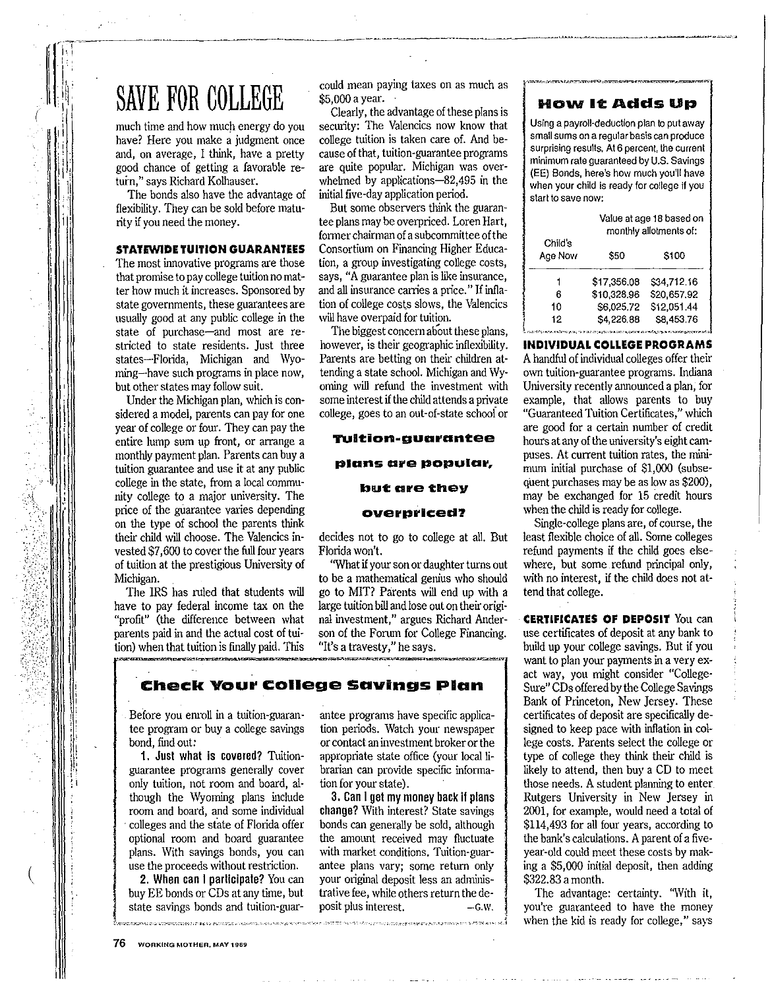# SAVE FOR COLLEGE COMO negar paying taxes on as much as

much time and how much energy do you have? Here you make a judgment once and, on average, I think, have a pretty good chance of getting a favorable return," says Richard Kolhauser.

The bonds also have the advantage of flexibility. They can be sold before maturity if you need the money.

### **STATEWIDE TUITION GUARANTEES**

The most innovative programs are those that promise to pay college tuition no matter how much it increases. Sponsored by state governments, these guarantees are usually good at any public college in the state of purchase-and most are restricted to state residents. Just three states-Florida, Michigan and Wyoming-have such programs in place now, but other states may follow suit.

I I

,

(

|<br>| ∥ I I i:  $\mathbf{F}$  $;$ i

Under the Michigan plan, which is considered a model, parents can pay for one year of college or four. They can pay the entire lump sum up front, or arrange a monthly payment plan. Parents can buy a tuition guarantee and use it at any public college in the state, from a local community college to a major university. The price of the guarantee varies depending on the type of school the parents think their child will choose. The Valencics invested \$7,600 to cover the full four years of tuition at the prestigious University of Michigan.

The IRS has ruled that students will have to pay federal income tax on the "profit" (the difference between what parents paid in and the actual cost of tuition) when that tuition is finally paid. This could mean paying taxes on as much as \$5,000 a year.

security: The Valencics now know that college tuition is taken care of. And because of that, tuition-guarantee programs are quite popular. Michigan was overwhelmed by applications-82,495 in the initial five-day application period.

But some observers think the guarantee plans may be overpriced. Loren Hart, former chairman of a subcommittee ofthe Consortium on Financing Higher Educa**tion, a group investigating college costs, says, "A guarantee plan is like insurance,**  and all insurance carries a price." If inflation of college costs slows, the Valencies will have overpaid for tuition.

The biggest concern about these plans, however, is their geographic inflexibility. Parents are betting on their children attending a state school. Michigan and Wyoming will refund the investment with some interest if the child attends a private college, goes to an out-of-state schooi or

### **TUlt:ion-guarant:ee**

#### **plans are popular,**

#### **b111t: are they**

#### **overpriced?**

decides not to go to college at all, But Florida won't.

"What if your son or daughter turns out to be a mathematical genius who should go to MIT? Parents will end up with a large tuition bill and lose out on their original investment," argues Richard Anderson of the Forum for College Financing. **"It's a travesty," he says.** 

# **Check Your college savings Plan**

- - - ''° ,~·---•·c.-< .-. 7·'·"·"-··,\_,- • ., c...c ,C "' -~ \_j

Before you empll in a tuition-guarantee program or buy a college savings bond, find *out:* 

**1. Jusl whal is covered?** Tuitionguarantee programs generally cover only tuition, not room and board, although the Wyoming plans include room and board, and some individual · colleges and the state of Florida offer optional room and board guarantee plans. With savings bonds, you can use the proceeds without restriction.

2. When can I parlicipale? You can buy EE bonds or CDs at any time, but state savings bonds and tuition·guar antee programs have specific application periods. Watch your newspaper or contact an investment brokeror the appropriate state office (your local librarian can provide specific information for your state).

**3. Can** I**get my money back** II **plans change?** With interest? State savings bonds can generally be sold, although the amount received may fluctuate with market conditions. Tuition-guarantee plans vary; some return only your original deposit less an administrative fee, while others return the de**posit plus interest. -G.W.** 

*i* 

# **H0\111 11: Adds Up**

**Using a payroll-deduction plan to put away small sums on a regular basis can produce surprising results. At 6 percent, the current minimum rate guaranteed by U.S. Savings**  (EE) Bonds, here's how much you'll have **when your child is ready for college if you start to save now:** 

|                                                                                                                | Value at age 18 based on<br>monthly allotments of: |             |
|----------------------------------------------------------------------------------------------------------------|----------------------------------------------------|-------------|
| Child's<br>Age Now                                                                                             | \$50                                               | \$100       |
|                                                                                                                | \$17,356.08                                        | \$34.712.16 |
| 6                                                                                                              | \$10,328.96                                        | \$20,657.92 |
| 10                                                                                                             | \$6,025,72                                         | \$12,051.44 |
| 12                                                                                                             | \$4,226,88                                         | S8.453.76   |
| THE CREATES REPORT OF THE CASE OF A STREET AND THE CASE OF THE CASE OF THE CASE OF THE CASE OF THE CASE OF THE |                                                    |             |

### **INDIVIDUAL COLLEGE PROGRAMS**

Ahandful of individual colleges offer their own tuition-guarantee programs. Indiana University recently announced a plan, for example, that allows parents to buy "Guaranteed Tuition Certificates," which are good for a certain number of credit hours at any of the university's eight campuses. At current tuition rates, the minimum initial purchase of \$1,000 (subsequent purchases may be as low as \$200), may be exchanged for 15 credit hours when the child is ready for college.

Single-college plans are, of course, the least flexible choice of all. Some colleges refund payments if the child goes elsewhere, but some refund principal only, with no interest, if the child does not attend that college.

**CERTIFICATES OF DEPOSIT** You can use certificates of deposit at any bank to build up your college savings. But if you want to plan your payments in a very exact way, you might consider "College-Sure" CDs offered by the College Savings Bank of Princeton, New Jersey. These certificates of deposit are specifically designed to keep pace with inflation in college costs. Parents select the college or type of college they think their child is likely to attend, then buy a CD to meet those needs. A student planning to enter Rutgers University in New Jersey in 2001, for example, would need a total of \$114,493 for all four years, according to the bank's calculations. A parent of a fiveyear-old could meet these costs by making a \$5,000 initial deposit, then adding \$322.83 a month.

The advantage: certainty. 'With it, you're guaranteed to have the money when the kid is ready for college," says